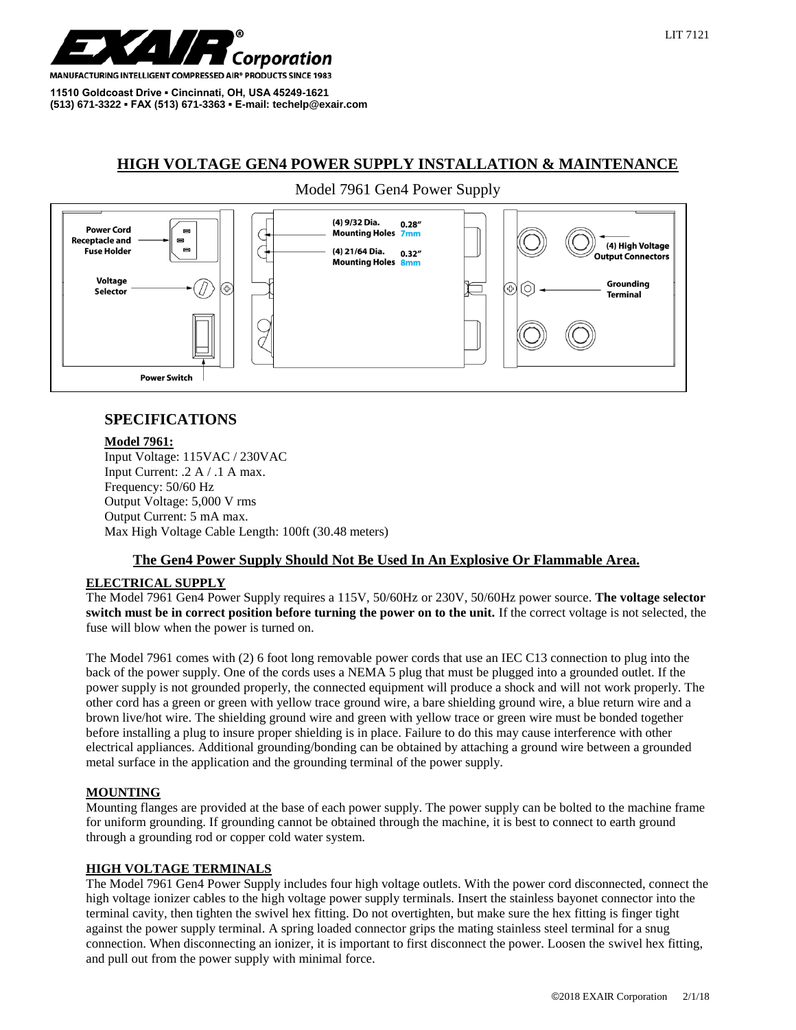

**MANUFACTURING INTELLIGENT COMPRESSED AIR® PRODUCTS SINCE 1983** 

**11510 Goldcoast Drive ▪ Cincinnati, OH, USA 45249-1621 (513) 671-3322 ▪ FAX (513) 671-3363 ▪ E-mail: techelp@exair.com**

# **HIGH VOLTAGE GEN4 POWER SUPPLY INSTALLATION & MAINTENANCE**

## Model 7961 Gen4 Power Supply



# **SPECIFICATIONS**

#### **Model 7961:**

Input Voltage: 115VAC / 230VAC Input Current: .2 A / .1 A max. Frequency: 50/60 Hz Output Voltage: 5,000 V rms Output Current: 5 mA max. Max High Voltage Cable Length: 100ft (30.48 meters)

### **The Gen4 Power Supply Should Not Be Used In An Explosive Or Flammable Area.**

### **ELECTRICAL SUPPLY**

The Model 7961 Gen4 Power Supply requires a 115V, 50/60Hz or 230V, 50/60Hz power source. **The voltage selector switch must be in correct position before turning the power on to the unit.** If the correct voltage is not selected, the fuse will blow when the power is turned on.

The Model 7961 comes with (2) 6 foot long removable power cords that use an IEC C13 connection to plug into the back of the power supply. One of the cords uses a NEMA 5 plug that must be plugged into a grounded outlet. If the power supply is not grounded properly, the connected equipment will produce a shock and will not work properly. The other cord has a green or green with yellow trace ground wire, a bare shielding ground wire, a blue return wire and a brown live/hot wire. The shielding ground wire and green with yellow trace or green wire must be bonded together before installing a plug to insure proper shielding is in place. Failure to do this may cause interference with other electrical appliances. Additional grounding/bonding can be obtained by attaching a ground wire between a grounded metal surface in the application and the grounding terminal of the power supply.

### **MOUNTING**

Mounting flanges are provided at the base of each power supply. The power supply can be bolted to the machine frame for uniform grounding. If grounding cannot be obtained through the machine, it is best to connect to earth ground through a grounding rod or copper cold water system.

### **HIGH VOLTAGE TERMINALS**

The Model 7961 Gen4 Power Supply includes four high voltage outlets. With the power cord disconnected, connect the high voltage ionizer cables to the high voltage power supply terminals. Insert the stainless bayonet connector into the terminal cavity, then tighten the swivel hex fitting. Do not overtighten, but make sure the hex fitting is finger tight against the power supply terminal. A spring loaded connector grips the mating stainless steel terminal for a snug connection. When disconnecting an ionizer, it is important to first disconnect the power. Loosen the swivel hex fitting, and pull out from the power supply with minimal force.